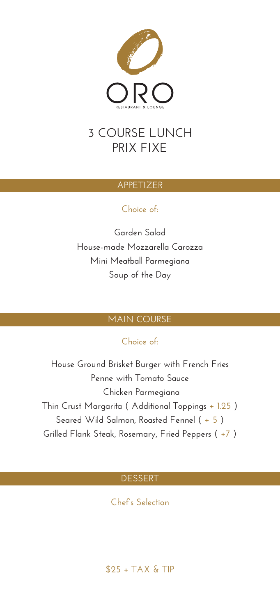

# **3 COURSE LUNCH PRIX FIXE**

# **APPETIZER**

# **Choice of:**

**Garden Salad House-made Mozzarella Carozza Mini Meatball Parmegiana Soup of the Day**

# **MAIN COURSE**

# **Choice of:**

**House Ground Brisket Burger with French Fries Penne with Tomato Sauce Chicken Parmegiana Thin Crust Margarita ( Additional Toppings + 1.25 ) Seared Wild Salmon, Roasted Fennel ( + 5 ) Grilled Flank Steak, Rosemary, Fried Peppers ( +7 )**

# **DESSERT**

**Chef's Selection**

**\$25 + TAX & TIP**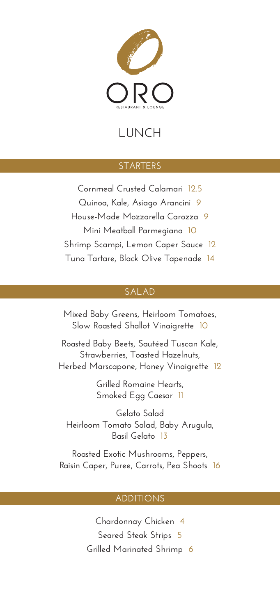

# **LUNCH**

# **STARTERS**

**Cornmeal Crusted Calamari 12.5 Quinoa, Kale, Asiago Arancini 9 House-Made Mozzarella Carozza 9 Mini Meatball Parmegiana 10 Shrimp Scampi, Lemon Caper Sauce 12 Tuna Tartare, Black Olive Tapenade 14**

# **SALAD**

**Mixed Baby Greens, Heirloom Tomatoes, Slow Roasted Shallot Vinaigrette 10**

**Roasted Baby Beets, Sautéed Tuscan Kale, Strawberries, Toasted Hazelnuts, Herbed Marscapone, Honey Vinaigrette 12**

> **Grilled Romaine Hearts, Smoked Egg Caesar 11**

**Gelato Salad Heirloom Tomato Salad, Baby Arugula, Basil Gelato 13**

**Roasted Exotic Mushrooms, Peppers, Raisin Caper, Puree, Carrots, Pea Shoots 16**

## **ADDITIONS**

**Chardonnay Chicken 4 Seared Steak Strips 5 Grilled Marinated Shrimp 6**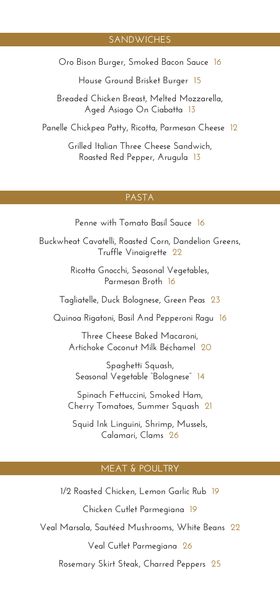# **SANDWICHES**

**Oro Bison Burger, Smoked Bacon Sauce 16**

**House Ground Brisket Burger 15**

**Breaded Chicken Breast, Melted Mozzarella, Aged Asiago On Ciabatta 13**

**Panelle Chickpea Patty, Ricotta, Parmesan Cheese 12**

**Grilled Italian Three Cheese Sandwich, Roasted Red Pepper, Arugula 13**

#### **PASTA**

**Penne with Tomato Basil Sauce 16**

**Buckwheat Cavatelli, Roasted Corn, Dandelion Greens, Truffle Vinaigrette 22**

> **Ricotta Gnocchi, Seasonal Vegetables, Parmesan Broth 16**

**Tagliatelle, Duck Bolognese, Green Peas 23**

**Quinoa Rigatoni, Basil And Pepperoni Ragu 16**

**Three Cheese Baked Macaroni, Artichoke Coconut Milk Béchamel 20**

**Spaghetti Squash, Seasonal Vegetable "Bolognese" 14**

**Spinach Fettuccini, Smoked Ham, Cherry Tomatoes, Summer Squash 21**

**Squid Ink Linguini, Shrimp, Mussels, Calamari, Clams 26**

#### **MEAT & POULTRY**

**1/2 Roasted Chicken, Lemon Garlic Rub 19 Chicken Cutlet Parmegiana 19 Veal Marsala, Sautéed Mushrooms, White Beans 22 Veal Cutlet Parmegiana 26 Rosemary Skirt Steak, Charred Peppers 25**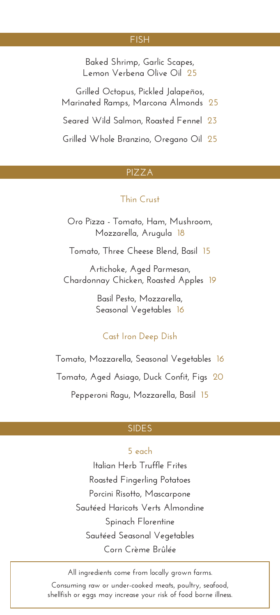#### **FISH**

**Baked Shrimp, Garlic Scapes, Lemon Verbena Olive Oil 25**

**Grilled Octopus, Pickled Jalapeños, Marinated Ramps, Marcona Almonds 25 Seared Wild Salmon, Roasted Fennel 23 Grilled Whole Branzino, Oregano Oil 25**

## **PIZZA**

## **Thin Crust**

**Oro Pizza - Tomato, Ham, Mushroom, Mozzarella, Arugula 18**

**Tomato, Three Cheese Blend, Basil 15**

**Artichoke, Aged Parmesan, Chardonnay Chicken, Roasted Apples 19**

> **Basil Pesto, Mozzarella, Seasonal Vegetables 16**

# **Cast Iron Deep Dish**

**Tomato, Mozzarella, Seasonal Vegetables 16 Tomato, Aged Asiago, Duck Confit, Figs 20 Pepperoni Ragu, Mozzarella, Basil 15**

# **SIDES**

# **5 each**

**Italian Herb Truffle Frites Roasted Fingerling Potatoes Porcini Risotto, Mascarpone Sautéed Haricots Verts Almondine Spinach Florentine Sautéed Seasonal Vegetables Corn Crème Brûlée**

**All ingredients come from locally grown farms. Consuming raw or under-cooked meats, poultry, seafood, shellfish or eggs may increase your risk of food borne illness.**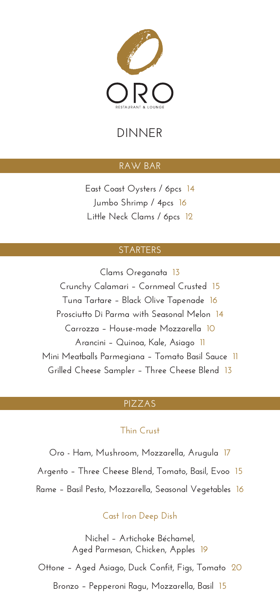

# **DINNER**

# **RAW BAR**

**East Coast Oysters / 6pcs 14 Jumbo Shrimp / 4pcs 16 Little Neck Clams / 6pcs 12**

#### **STARTERS**

**Clams Oreganata 13 Crunchy Calamari – Cornmeal Crusted 15 Tuna Tartare – Black Olive Tapenade 16 Prosciutto Di Parma with Seasonal Melon 14 Carrozza – House-made Mozzarella 10 Arancini – Quinoa, Kale, Asiago 11 Mini Meatballs Parmegiana – Tomato Basil Sauce 11 Grilled Cheese Sampler – Three Cheese Blend 13**

## **PIZZAS**

# **Thin Crust**

**Oro - Ham, Mushroom, Mozzarella, Arugula 17 Argento – Three Cheese Blend, Tomato, Basil, Evoo 15 Rame – Basil Pesto, Mozzarella, Seasonal Vegetables 16**

## **Cast Iron Deep Dish**

**Nichel – Artichoke Béchamel, Aged Parmesan, Chicken, Apples 19**

**Ottone – Aged Asiago, Duck Confit, Figs, Tomato 20**

**Bronzo – Pepperoni Ragu, Mozzarella, Basil 15**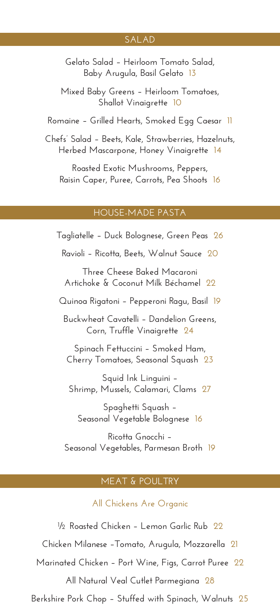## **SALAD**

**Gelato Salad – Heirloom Tomato Salad, Baby Arugula, Basil Gelato 13**

**Mixed Baby Greens – Heirloom Tomatoes, Shallot Vinaigrette 10**

**Romaine – Grilled Hearts, Smoked Egg Caesar 11**

**Chefs' Salad – Beets, Kale, Strawberries, Hazelnuts, Herbed Mascarpone, Honey Vinaigrette 14**

**Roasted Exotic Mushrooms, Peppers, Raisin Caper, Puree, Carrots, Pea Shoots 16**

#### **HOUSE-MADE PASTA**

**Tagliatelle – Duck Bolognese, Green Peas 26 Ravioli – Ricotta, Beets, Walnut Sauce 20 Three Cheese Baked Macaroni Artichoke & Coconut Milk Béchamel 22 Quinoa Rigatoni – Pepperoni Ragu, Basil 19 Buckwheat Cavatelli – Dandelion Greens, Corn, Truffle Vinaigrette 24 Spinach Fettuccini – Smoked Ham, Cherry Tomatoes, Seasonal Squash 23 Squid Ink Linguini – Shrimp, Mussels, Calamari, Clams 27 Spaghetti Squash – Seasonal Vegetable Bolognese 16 Ricotta Gnocchi – Seasonal Vegetables, Parmesan Broth 19**

#### **MEAT & POULTRY**

**All Chickens Are Organic**

**½ Roasted Chicken – Lemon Garlic Rub 22 Chicken Milanese –Tomato, Arugula, Mozzarella 21 Marinated Chicken – Port Wine, Figs, Carrot Puree 22 All Natural Veal Cutlet Parmegiana 28 Berkshire Pork Chop – Stuffed with Spinach, Walnuts 25**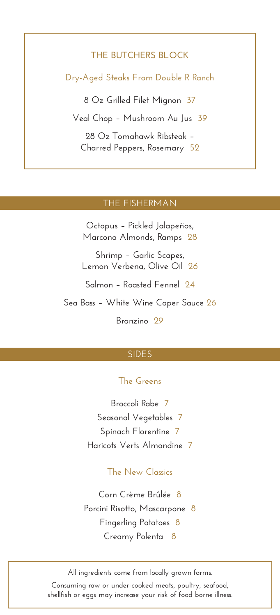# **THE BUTCHERS BLOCK**

**Dry-Aged Steaks From Double R Ranch**

**8 Oz Grilled Filet Mignon 37**

**Veal Chop – Mushroom Au Jus 39**

**28 Oz Tomahawk Ribsteak – Charred Peppers, Rosemary 52**

#### **THE FISHERMAN**

**Octopus – Pickled Jalapeños, Marcona Almonds, Ramps 28**

**Shrimp – Garlic Scapes, Lemon Verbena, Olive Oil 26**

**Salmon – Roasted Fennel 24**

**Sea Bass – White Wine Caper Sauce 26**

**Branzino 29**

# **SIDES**

## **The Greens**

**Broccoli Rabe 7 Seasonal Vegetables 7 Spinach Florentine 7 Haricots Verts Almondine 7**

# **The New Classics**

**Corn Crème Brûlée 8 Porcini Risotto, Mascarpone 8 Fingerling Potatoes 8 Creamy Polenta 8**

**All ingredients come from locally grown farms. Consuming raw or under-cooked meats, poultry, seafood, shellfish or eggs may increase your risk of food borne illness.**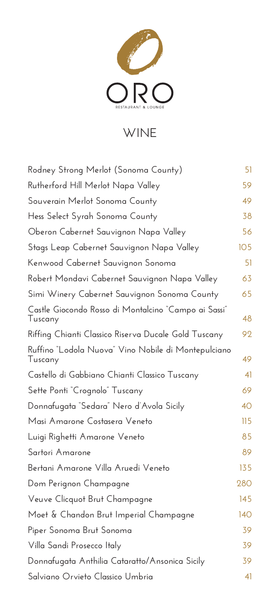

# **WINE**

| Rodney Strong Merlot (Sonoma County)                            | 51         |
|-----------------------------------------------------------------|------------|
| Rutherford Hill Merlot Napa Valley                              | 59         |
| Souverain Merlot Sonoma County                                  | 49         |
| Hess Select Syrah Sonoma County                                 | 38         |
| Oberon Cabernet Sauvignon Napa Valley                           | 56         |
| Stags Leap Cabernet Sauvignon Napa Valley                       | 105        |
| Kenwood Cabernet Sauvignon Sonoma                               | 51         |
| Robert Mondavi Cabernet Sauvignon Napa Valley                   | 63         |
| Simi Winery Cabernet Sauvignon Sonoma County                    | 65         |
| Castle Giocondo Rosso di Montalcino "Campo ai Sassi"<br>Tuscany | 48         |
| Riffing Chianti Classico Riserva Ducale Gold Tuscany            | 92         |
| Ruffino "Lodola Nuova" Vino Nobile di Montepulciano<br>Tuscany  | 49         |
| Castello di Gabbiano Chianti Classico Tuscany                   | 41         |
| Sette Ponti "Crognolo" Tuscany                                  | 69         |
| Donnafugata "Sedara" Nero d'Avola Sicily                        | 40         |
| Masi Amarone Costasera Veneto                                   | 115        |
| Luigi Righetti Amarone Veneto                                   | 85         |
| Sartori Amarone                                                 | 89         |
| Bertani Amarone Villa Aruedi Veneto                             | 135        |
| Dom Perignon Champagne                                          | 280        |
| Veuve Clicquot Brut Champagne                                   | 145        |
| Moet & Chandon Brut Imperial Champagne                          | <b>140</b> |
| Piper Sonoma Brut Sonoma                                        | 39         |
| Villa Sandi Prosecco Italy                                      | 39         |
| Donnafugata Anthilia Cataratto/Ansonica Sicily                  | 39         |
| Salviano Orvieto Classico Umbria                                | 41         |